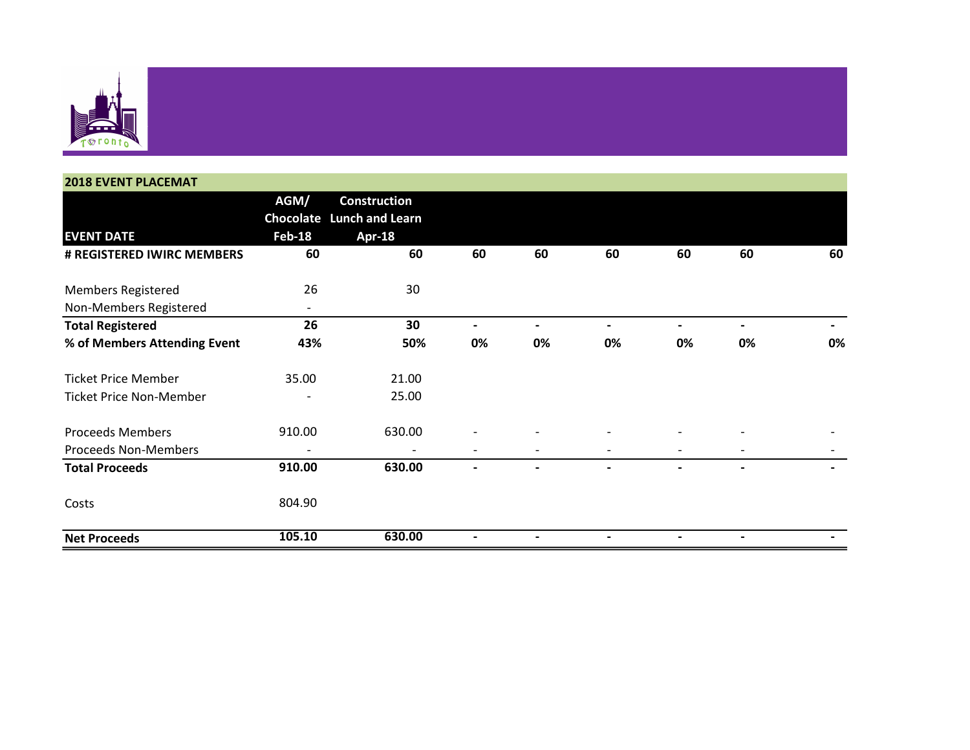

## 2018 EVENT PLACEMAT

|                                | AGM/                     | <b>Construction</b><br>Chocolate Lunch and Learn |                          |                |    |                          |                |                |
|--------------------------------|--------------------------|--------------------------------------------------|--------------------------|----------------|----|--------------------------|----------------|----------------|
| <b>EVENT DATE</b>              | <b>Feb-18</b>            | <b>Apr-18</b>                                    |                          |                |    |                          |                |                |
| # REGISTERED IWIRC MEMBERS     | 60                       | 60                                               | 60                       | 60             | 60 | 60                       | 60             | 60             |
| <b>Members Registered</b>      | 26                       | 30                                               |                          |                |    |                          |                |                |
| Non-Members Registered         | $\overline{\phantom{a}}$ |                                                  |                          |                |    |                          |                |                |
| <b>Total Registered</b>        | 26                       | 30                                               | $\overline{\phantom{0}}$ | $\blacksquare$ | -  | $\overline{\phantom{a}}$ | $\blacksquare$ | $\blacksquare$ |
| % of Members Attending Event   | 43%                      | 50%                                              | 0%                       | 0%             | 0% | 0%                       | 0%             | 0%             |
| <b>Ticket Price Member</b>     | 35.00                    | 21.00                                            |                          |                |    |                          |                |                |
| <b>Ticket Price Non-Member</b> |                          | 25.00                                            |                          |                |    |                          |                |                |
| <b>Proceeds Members</b>        | 910.00                   | 630.00                                           |                          |                |    |                          |                |                |
| <b>Proceeds Non-Members</b>    | $\overline{a}$           | $\qquad \qquad \blacksquare$                     | -                        | -              |    |                          |                |                |
| <b>Total Proceeds</b>          | 910.00                   | 630.00                                           |                          |                |    |                          |                |                |
| Costs                          | 804.90                   |                                                  |                          |                |    |                          |                |                |
| <b>Net Proceeds</b>            | 105.10                   | 630.00                                           |                          |                |    |                          |                |                |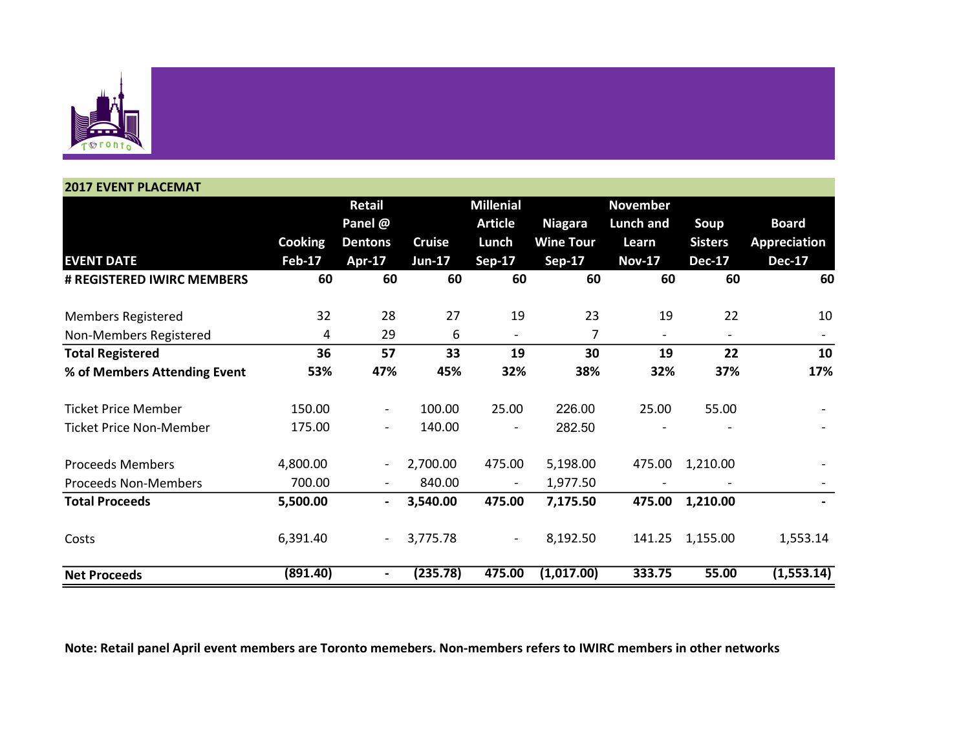

## 2017 EVENT PLACEMAT Cooking Retail Panel @ Dentons Cruise Millenial Article Lunch Niagara Wine Tour November Lunch and Learn Soup Sisters Board Appreciation EVENT DATE Feb-17 Apr-17 Jun-17 Sep-17 Sep-17 Nov-17 Dec-17 Dec-17 # REGISTERED IWIRC MEMBERS 60 60 60 60 60 60 60 60 Members Registered **32** 28 27 19 23 19 22 10 Non-Members Registered 4 29 6 - 7 - - - Total Registered 36 57 33 19 30 19 22 10 % of Members Attending Event 53% 47% 45% 32% 38% 32% 37% 17% Ticket Price Member 150.00 - 100.00 25.00 226.00 25.00 55.00 - Ticket Price Non-Member 175.00 - 140.00 - 282.50 -Proceeds Members 4,800.00 - 2,700.00 475.00 5,198.00 475.00 1,210.00 - Proceeds Non-Members 700.00 - 840.00 - 1,977.50 Total Proceeds **5,500.00** - 3,540.00 475.00 7,175.50 475.00 1,210.00

Note: Retail panel April event members are Toronto memebers. Non-members refers to IWIRC members in other networks

Costs 6,391.40 - 3,775.78 - 8,192.50 141.25 1,155.00 1,553.14

Net Proceeds (891.40) - (235.78) 475.00 (1,017.00) 333.75 55.00 (1,553.14)